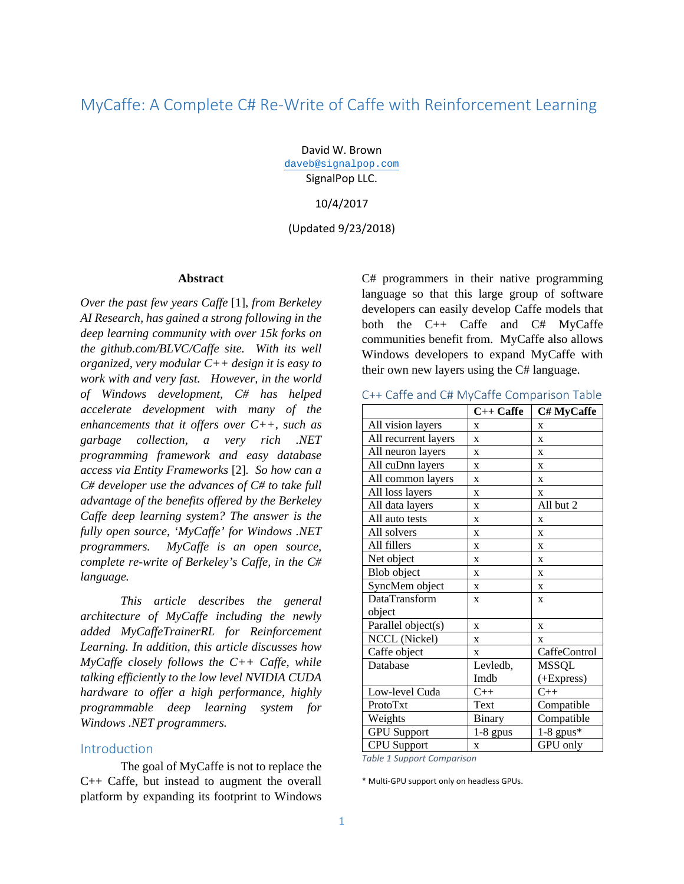# MyCaffe: A Complete C# Re-Write of Caffe with Reinforcement Learning

David W. Brown [daveb@signalpop.com](mailto:daveb@signalpop.com) SignalPop LLC.

10/4/2017

(Updated 9/23/2018)

#### **Abstract**

*Over the past few years Caffe* [1]*, from Berkeley AI Research, has gained a strong following in the deep learning community with over 15k forks on the github.com/BLVC/Caffe site. With its well organized, very modular C++ design it is easy to work with and very fast. However, in the world of Windows development, C# has helped accelerate development with many of the enhancements that it offers over C++, such as garbage collection, a very rich .NET programming framework and easy database access via Entity Frameworks* [2]*. So how can a C# developer use the advances of C# to take full advantage of the benefits offered by the Berkeley Caffe deep learning system? The answer is the fully open source, 'MyCaffe' for Windows .NET programmers. MyCaffe is an open source, complete re-write of Berkeley's Caffe, in the C# language.* 

*This article describes the general architecture of MyCaffe including the newly added MyCaffeTrainerRL for Reinforcement Learning. In addition, this article discusses how MyCaffe closely follows the C++ Caffe, while talking efficiently to the low level NVIDIA CUDA hardware to offer a high performance, highly programmable deep learning system for Windows .NET programmers.*

### Introduction

The goal of MyCaffe is not to replace the C++ Caffe, but instead to augment the overall platform by expanding its footprint to Windows C# programmers in their native programming language so that this large group of software developers can easily develop Caffe models that both the C++ Caffe and C# MyCaffe communities benefit from. MyCaffe also allows Windows developers to expand MyCaffe with their own new layers using the C# language.

C++ Caffe and C# MyCaffe Comparison Table

|                      | $C++$ Caffe   | C# MyCaffe   |
|----------------------|---------------|--------------|
| All vision layers    | $\mathbf{x}$  | $\mathbf x$  |
| All recurrent layers | X             | $\mathbf x$  |
| All neuron layers    | X             | X            |
| All cuDnn layers     | X             | $\mathbf x$  |
| All common layers    | X             | X            |
| All loss layers      | X             | X            |
| All data layers      | X             | All but 2    |
| All auto tests       | $\mathbf{x}$  | $\mathbf{x}$ |
| All solvers          | X             | X            |
| All fillers          | X             | $\mathbf{x}$ |
| Net object           | X             | $\mathbf x$  |
| Blob object          | X             | X            |
| SyncMem object       | X             | X            |
| DataTransform        | $\mathbf{x}$  | $\mathbf x$  |
| object               |               |              |
| Parallel object(s)   | $\mathbf{x}$  | X            |
| NCCL (Nickel)        | X             | X            |
| Caffe object         | $\mathbf x$   | CaffeControl |
| Database             | Levledb,      | <b>MSSQL</b> |
|                      | Imdb          | (+Express)   |
| Low-level Cuda       | $C_{++}$      | $C_{++}$     |
| ProtoTxt             | Text          | Compatible   |
| Weights              | <b>Binary</b> | Compatible   |
| <b>GPU</b> Support   | $1-8$ gpus    | $1-8$ gpus*  |
| <b>CPU</b> Support   | $\mathbf{x}$  | GPU only     |

*Table 1 Support Comparison*

\* Multi-GPU support only on headless GPUs.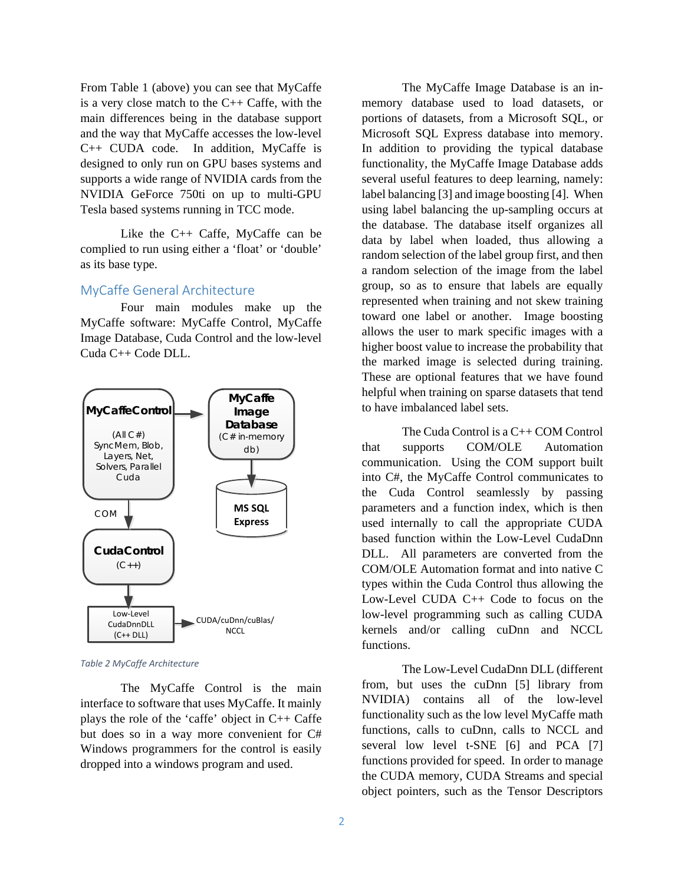From Table 1 (above) you can see that MyCaffe is a very close match to the C++ Caffe, with the main differences being in the database support and the way that MyCaffe accesses the low-level C++ CUDA code. In addition, MyCaffe is designed to only run on GPU bases systems and supports a wide range of NVIDIA cards from the NVIDIA GeForce 750ti on up to multi-GPU Tesla based systems running in TCC mode.

Like the C++ Caffe, MyCaffe can be complied to run using either a 'float' or 'double' as its base type.

# MyCaffe General Architecture

Four main modules make up the MyCaffe software: MyCaffe Control, MyCaffe Image Database, Cuda Control and the low-level Cuda C++ Code DLL.



*Table 2 MyCaffe Architecture*

The MyCaffe Control is the main interface to software that uses MyCaffe. It mainly plays the role of the 'caffe' object in C++ Caffe but does so in a way more convenient for C# Windows programmers for the control is easily dropped into a windows program and used.

The MyCaffe Image Database is an inmemory database used to load datasets, or portions of datasets, from a Microsoft SQL, or Microsoft SQL Express database into memory. In addition to providing the typical database functionality, the MyCaffe Image Database adds several useful features to deep learning, namely: label balancing [3] and image boosting [4]. When using label balancing the up-sampling occurs at the database. The database itself organizes all data by label when loaded, thus allowing a random selection of the label group first, and then a random selection of the image from the label group, so as to ensure that labels are equally represented when training and not skew training toward one label or another. Image boosting allows the user to mark specific images with a higher boost value to increase the probability that the marked image is selected during training. These are optional features that we have found helpful when training on sparse datasets that tend to have imbalanced label sets.

The Cuda Control is a C++ COM Control that supports COM/OLE Automation communication. Using the COM support built into C#, the MyCaffe Control communicates to the Cuda Control seamlessly by passing parameters and a function index, which is then used internally to call the appropriate CUDA based function within the Low-Level CudaDnn DLL. All parameters are converted from the COM/OLE Automation format and into native C types within the Cuda Control thus allowing the Low-Level CUDA C++ Code to focus on the low-level programming such as calling CUDA kernels and/or calling cuDnn and NCCL functions.

The Low-Level CudaDnn DLL (different from, but uses the cuDnn [5] library from NVIDIA) contains all of the low-level functionality such as the low level MyCaffe math functions, calls to cuDnn, calls to NCCL and several low level t-SNE [6] and PCA [7] functions provided for speed. In order to manage the CUDA memory, CUDA Streams and special object pointers, such as the Tensor Descriptors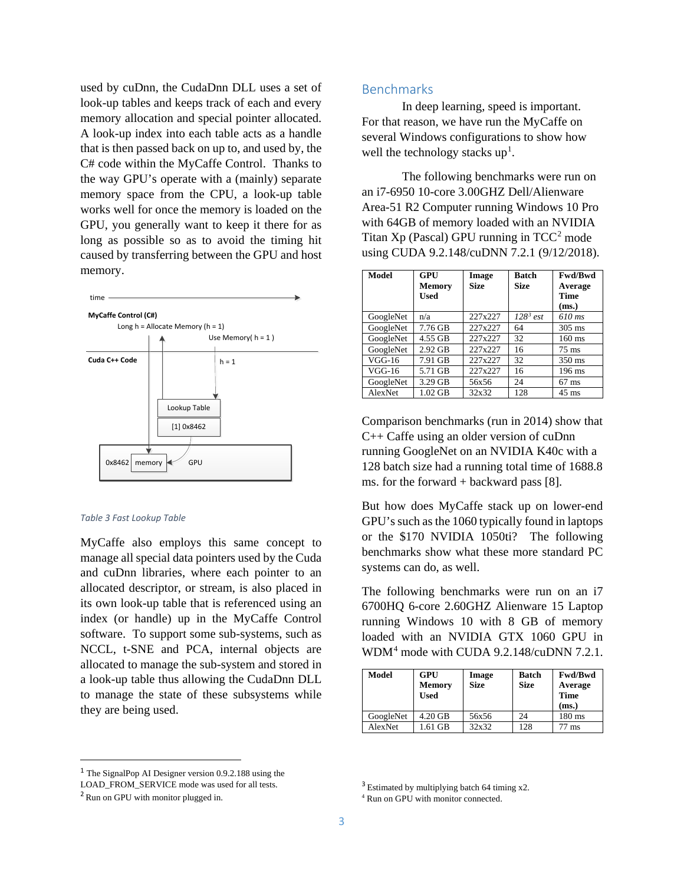used by cuDnn, the CudaDnn DLL uses a set of look-up tables and keeps track of each and every memory allocation and special pointer allocated. A look-up index into each table acts as a handle that is then passed back on up to, and used by, the C# code within the MyCaffe Control. Thanks to the way GPU's operate with a (mainly) separate memory space from the CPU, a look-up table works well for once the memory is loaded on the GPU, you generally want to keep it there for as long as possible so as to avoid the timing hit caused by transferring between the GPU and host memory.



#### *Table 3 Fast Lookup Table*

MyCaffe also employs this same concept to manage all special data pointers used by the Cuda and cuDnn libraries, where each pointer to an allocated descriptor, or stream, is also placed in its own look-up table that is referenced using an index (or handle) up in the MyCaffe Control software. To support some sub-systems, such as NCCL, t-SNE and PCA, internal objects are allocated to manage the sub-system and stored in a look-up table thus allowing the CudaDnn DLL to manage the state of these subsystems while they are being used.

# Benchmarks

In deep learning, speed is important. For that reason, we have run the MyCaffe on several Windows configurations to show how well the technology stacks  $up<sup>1</sup>$  $up<sup>1</sup>$  $up<sup>1</sup>$ .

The following benchmarks were run on an i7-6950 10-core 3.00GHZ Dell/Alienware Area-51 R2 Computer running Windows 10 Pro with 64GB of memory loaded with an NVIDIA Titan  $Xp$  (Pascal) GPU running in  $TCC<sup>2</sup>$  $TCC<sup>2</sup>$  $TCC<sup>2</sup>$  mode using CUDA 9.2.148/cuDNN 7.2.1 (9/12/2018).

| <b>Model</b> | GPU<br><b>Memory</b><br><b>Used</b> | Image<br><b>Size</b> | <b>Batch</b><br><b>Size</b> | <b>Fwd/Bwd</b><br>Average<br>Time<br>(ms.) |
|--------------|-------------------------------------|----------------------|-----------------------------|--------------------------------------------|
| GoogleNet    | n/a                                 | 227x227              | $128^3$ est                 | 610 ms                                     |
| GoogleNet    | 7.76 GB                             | 227x227              | 64                          | $305$ ms                                   |
| GoogleNet    | 4.55 GB                             | 227x227              | 32                          | $160 \text{ ms}$                           |
| GoogleNet    | 2.92 GB                             | 227x227              | 16                          | $75 \text{ ms}$                            |
| $VGG-16$     | 7.91 GB                             | 227x227              | 32                          | $350 \text{ ms}$                           |
| $VGG-16$     | 5.71 GB                             | 227x227              | 16                          | $196$ ms                                   |
| GoogleNet    | 3.29 GB                             | 56x56                | 24                          | $67$ ms                                    |
| AlexNet      | 1.02 GB                             | 32x32                | 128                         | $45 \text{ ms}$                            |

Comparison benchmarks (run in 2014) show that C++ Caffe using an older version of cuDnn running GoogleNet on an NVIDIA K40c with a 128 batch size had a running total time of 1688.8 ms. for the forward  $+$  backward pass [8].

But how does MyCaffe stack up on lower-end GPU's such as the 1060 typically found in laptops or the \$170 NVIDIA 1050ti? The following benchmarks show what these more standard PC systems can do, as well.

The following benchmarks were run on an i7 6700HQ 6-core 2.60GHZ Alienware 15 Laptop running Windows 10 with 8 GB of memory loaded with an NVIDIA GTX 1060 GPU in WDM<sup>[4](#page-2-3)</sup> mode with CUDA 9.2.148/cuDNN 7.2.1.

| Model     | <b>GPU</b><br>Memory<br>Used |       | Batch<br><b>Size</b> | Fwd/Bwd<br>Average<br>Time<br>(ms.) |  |
|-----------|------------------------------|-------|----------------------|-------------------------------------|--|
| GoogleNet | 4.20 GB                      | 56x56 | 24                   | $180 \text{ ms}$                    |  |
| AlexNet   | 1.61 GB                      | 32x32 | 128                  | 77 ms                               |  |

<span id="page-2-0"></span> <sup>1</sup> The SignalPop AI Designer version 0.9.2.188 using the

<span id="page-2-2"></span>LOAD\_FROM\_SERVICE mode was used for all tests.

<span id="page-2-3"></span><span id="page-2-1"></span><sup>2</sup> Run on GPU with monitor plugged in.

<sup>&</sup>lt;sup>3</sup> Estimated by multiplying batch 64 timing x2.

<sup>4</sup> Run on GPU with monitor connected.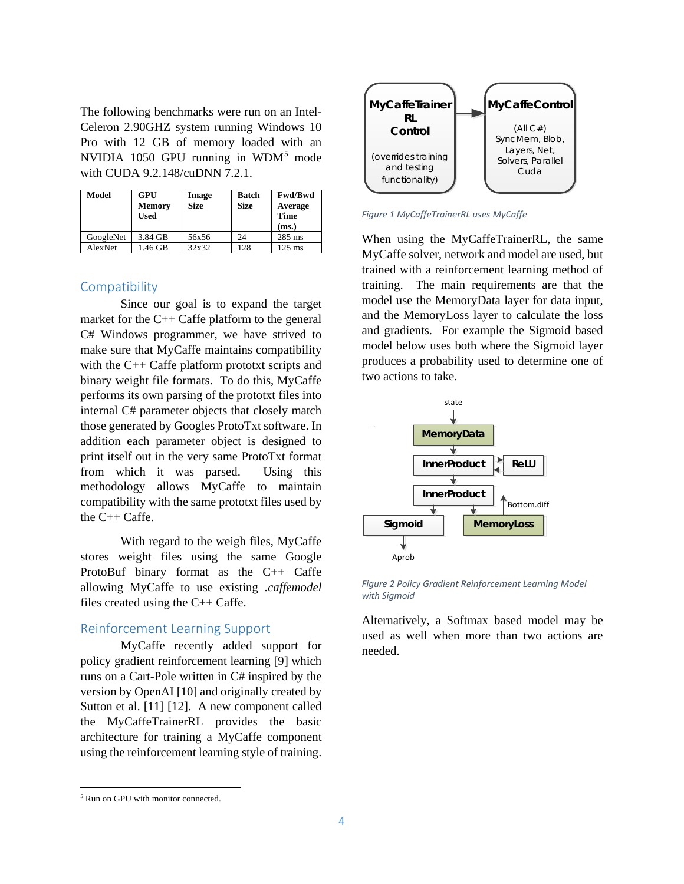The following benchmarks were run on an Intel-Celeron 2.90GHZ system running Windows 10 Pro with 12 GB of memory loaded with an NVIDIA 10[5](#page-3-0)0 GPU running in  $WDM<sup>5</sup>$  mode with CUDA 9.2.148/cuDNN 7.2.1.

| Model     | <b>GPU</b><br>Memory<br>Used |       | <b>Batch</b><br><b>Size</b> | <b>Fwd/Bwd</b><br>Average<br><b>Time</b><br>(ms.) |  |
|-----------|------------------------------|-------|-----------------------------|---------------------------------------------------|--|
| GoogleNet | 3.84 GB                      | 56x56 | 24                          | $285$ ms                                          |  |
| AlexNet   | 1.46 GB                      | 32x32 | 128                         | $125 \text{ ms}$                                  |  |

## **Compatibility**

Since our goal is to expand the target market for the C++ Caffe platform to the general C# Windows programmer, we have strived to make sure that MyCaffe maintains compatibility with the C++ Caffe platform prototxt scripts and binary weight file formats. To do this, MyCaffe performs its own parsing of the prototxt files into internal C# parameter objects that closely match those generated by Googles ProtoTxt software. In addition each parameter object is designed to print itself out in the very same ProtoTxt format from which it was parsed. Using this methodology allows MyCaffe to maintain compatibility with the same prototxt files used by the C++ Caffe.

With regard to the weigh files, MyCaffe stores weight files using the same Google ProtoBuf binary format as the C++ Caffe allowing MyCaffe to use existing *.caffemodel* files created using the C++ Caffe.

### Reinforcement Learning Support

MyCaffe recently added support for policy gradient reinforcement learning [9] which runs on a Cart-Pole written in C# inspired by the version by OpenAI [10] and originally created by Sutton et al. [11] [12]. A new component called the MyCaffeTrainerRL provides the basic architecture for training a MyCaffe component using the reinforcement learning style of training.



*Figure 1 MyCaffeTrainerRL uses MyCaffe*

When using the MyCaffeTrainerRL, the same MyCaffe solver, network and model are used, but trained with a reinforcement learning method of training. The main requirements are that the model use the MemoryData layer for data input, and the MemoryLoss layer to calculate the loss and gradients. For example the Sigmoid based model below uses both where the Sigmoid layer produces a probability used to determine one of two actions to take.



*Figure 2 Policy Gradient Reinforcement Learning Model with Sigmoid*

Alternatively, a Softmax based model may be used as well when more than two actions are needed.

 $\overline{\phantom{a}}$ 

<span id="page-3-0"></span><sup>&</sup>lt;sup>5</sup> Run on GPU with monitor connected.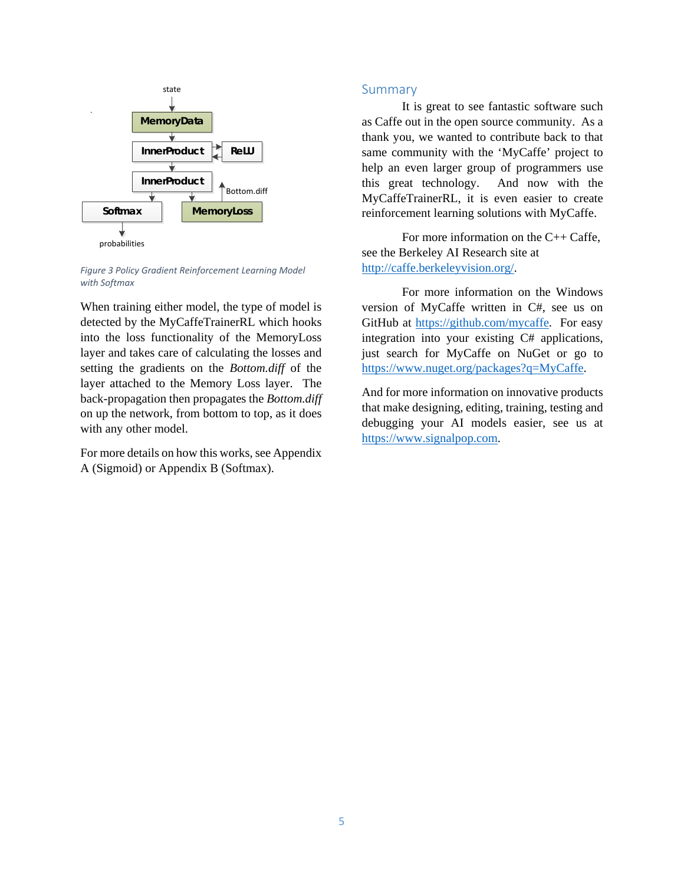

*Figure 3 Policy Gradient Reinforcement Learning Model with Softmax*

When training either model, the type of model is detected by the MyCaffeTrainerRL which hooks into the loss functionality of the MemoryLoss layer and takes care of calculating the losses and setting the gradients on the *Bottom.diff* of the layer attached to the Memory Loss layer. The back-propagation then propagates the *Bottom.diff* on up the network, from bottom to top, as it does with any other model.

For more details on how this works, see Appendix A (Sigmoid) or Appendix B (Softmax).

### Summary

It is great to see fantastic software such as Caffe out in the open source community. As a thank you, we wanted to contribute back to that same community with the 'MyCaffe' project to help an even larger group of programmers use this great technology. And now with the MyCaffeTrainerRL, it is even easier to create reinforcement learning solutions with MyCaffe.

For more information on the C++ Caffe, see the Berkeley AI Research site at [http://caffe.berkeleyvision.org/.](http://caffe.berkeleyvision.org/)

For more information on the Windows version of MyCaffe written in C#, see us on GitHub at [https://github.com/mycaffe.](https://github.com/mycaffe) For easy integration into your existing C# applications, just search for MyCaffe on NuGet or go to [https://www.nuget.org/packages?q=MyCaffe.](https://www.nuget.org/packages?q=MyCaffe)

And for more information on innovative products that make designing, editing, training, testing and debugging your AI models easier, see us at [https://www.signalpop.com.](https://www.signalpop.com/)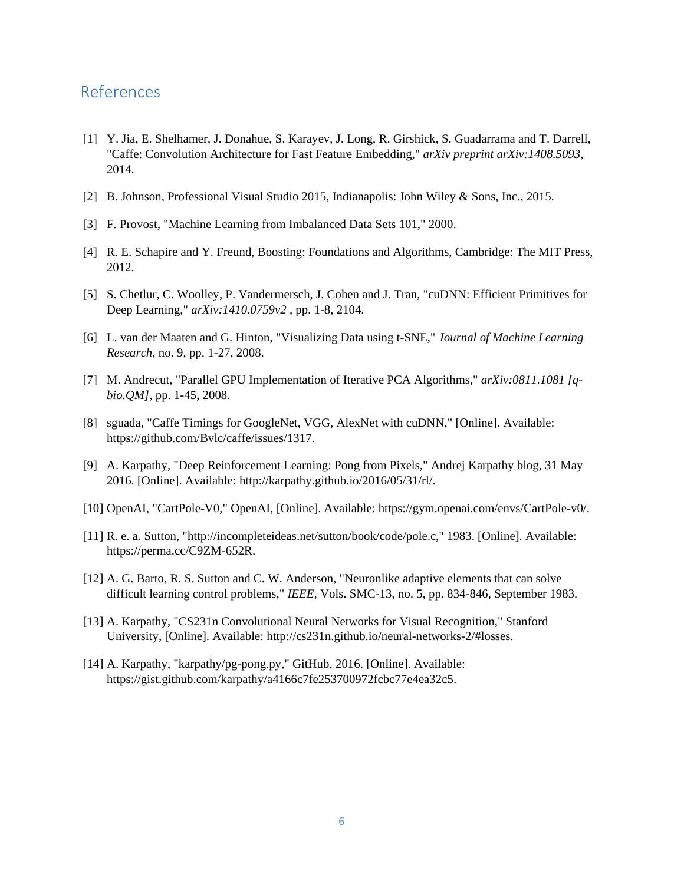# References

- [1] Y. Jia, E. Shelhamer, J. Donahue, S. Karayev, J. Long, R. Girshick, S. Guadarrama and T. Darrell, "Caffe: Convolution Architecture for Fast Feature Embedding," *arXiv preprint arXiv:1408.5093,*  2014.
- [2] B. Johnson, Professional Visual Studio 2015, Indianapolis: John Wiley & Sons, Inc., 2015.
- [3] F. Provost, "Machine Learning from Imbalanced Data Sets 101," 2000.
- [4] R. E. Schapire and Y. Freund, Boosting: Foundations and Algorithms, Cambridge: The MIT Press, 2012.
- [5] S. Chetlur, C. Woolley, P. Vandermersch, J. Cohen and J. Tran, "cuDNN: Efficient Primitives for Deep Learning," *arXiv:1410.0759v2 ,* pp. 1-8, 2104.
- [6] L. van der Maaten and G. Hinton, "Visualizing Data using t-SNE," *Journal of Machine Learning Research,* no. 9, pp. 1-27, 2008.
- [7] M. Andrecut, "Parallel GPU Implementation of Iterative PCA Algorithms," *arXiv:0811.1081 [qbio.QM],* pp. 1-45, 2008.
- [8] sguada, "Caffe Timings for GoogleNet, VGG, AlexNet with cuDNN," [Online]. Available: https://github.com/Bvlc/caffe/issues/1317.
- [9] A. Karpathy, "Deep Reinforcement Learning: Pong from Pixels," Andrej Karpathy blog, 31 May 2016. [Online]. Available: http://karpathy.github.io/2016/05/31/rl/.
- [10] OpenAI, "CartPole-V0," OpenAI, [Online]. Available: https://gym.openai.com/envs/CartPole-v0/.
- [11] R. e. a. Sutton, "http://incompleteideas.net/sutton/book/code/pole.c," 1983. [Online]. Available: https://perma.cc/C9ZM-652R.
- [12] A. G. Barto, R. S. Sutton and C. W. Anderson, "Neuronlike adaptive elements that can solve difficult learning control problems," *IEEE,* Vols. SMC-13, no. 5, pp. 834-846, September 1983.
- [13] A. Karpathy, "CS231n Convolutional Neural Networks for Visual Recognition," Stanford University, [Online]. Available: http://cs231n.github.io/neural-networks-2/#losses.
- [14] A. Karpathy, "karpathy/pg-pong.py," GitHub, 2016. [Online]. Available: https://gist.github.com/karpathy/a4166c7fe253700972fcbc77e4ea32c5.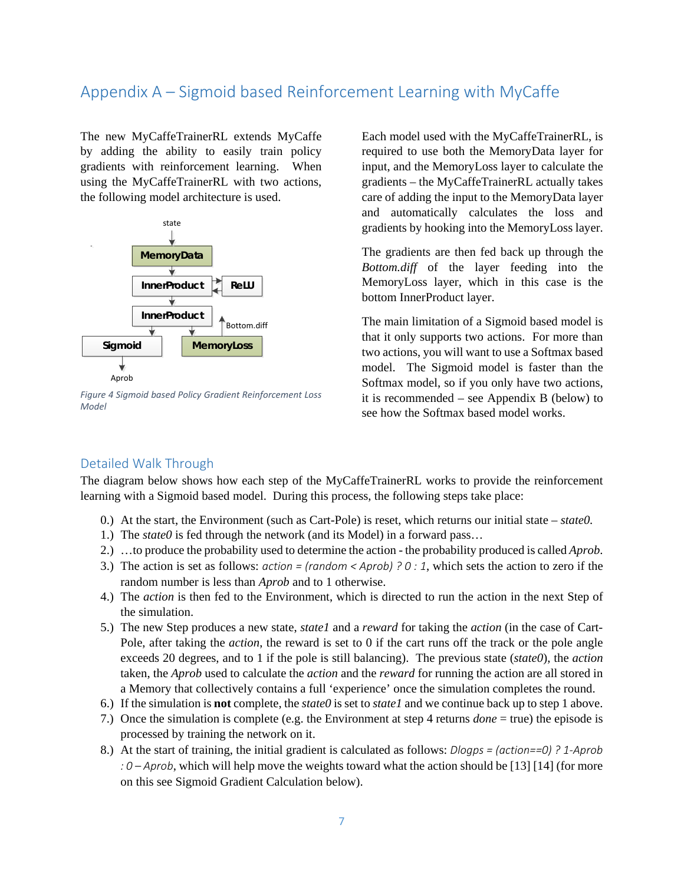# Appendix A – Sigmoid based Reinforcement Learning with MyCaffe

The new MyCaffeTrainerRL extends MyCaffe by adding the ability to easily train policy gradients with reinforcement learning. When using the MyCaffeTrainerRL with two actions, the following model architecture is used.



*Figure 4 Sigmoid based Policy Gradient Reinforcement Loss Model*

Each model used with the MyCaffeTrainerRL, is required to use both the MemoryData layer for input, and the MemoryLoss layer to calculate the gradients – the MyCaffeTrainerRL actually takes care of adding the input to the MemoryData layer and automatically calculates the loss and gradients by hooking into the MemoryLoss layer.

The gradients are then fed back up through the *Bottom.diff* of the layer feeding into the MemoryLoss layer, which in this case is the bottom InnerProduct layer.

The main limitation of a Sigmoid based model is that it only supports two actions. For more than two actions, you will want to use a Softmax based model. The Sigmoid model is faster than the Softmax model, so if you only have two actions, it is recommended – see Appendix B (below) to see how the Softmax based model works.

### Detailed Walk Through

The diagram below shows how each step of the MyCaffeTrainerRL works to provide the reinforcement learning with a Sigmoid based model. During this process, the following steps take place:

- 0.) At the start, the Environment (such as Cart-Pole) is reset, which returns our initial state *state0.*
- 1.) The *state0* is fed through the network (and its Model) in a forward pass…
- 2.) …to produce the probability used to determine the action the probability produced is called *Aprob*.
- 3.) The action is set as follows: *action = (random < Aprob) ? 0 : 1*, which sets the action to zero if the random number is less than *Aprob* and to 1 otherwise.
- 4.) The *action* is then fed to the Environment, which is directed to run the action in the next Step of the simulation.
- 5.) The new Step produces a new state, *state1* and a *reward* for taking the *action* (in the case of Cart-Pole, after taking the *action*, the reward is set to 0 if the cart runs off the track or the pole angle exceeds 20 degrees, and to 1 if the pole is still balancing). The previous state (*state0*), the *action* taken, the *Aprob* used to calculate the *action* and the *reward* for running the action are all stored in a Memory that collectively contains a full 'experience' once the simulation completes the round.
- 6.) If the simulation is **not** complete, the *state0* is set to *state1* and we continue back up to step 1 above.
- 7.) Once the simulation is complete (e.g. the Environment at step 4 returns *done* = true) the episode is processed by training the network on it.
- 8.) At the start of training, the initial gradient is calculated as follows: *Dlogps = (action==0) ? 1-Aprob : 0 – Aprob*, which will help move the weights toward what the action should be [13] [14] (for more on this see Sigmoid Gradient Calculation below).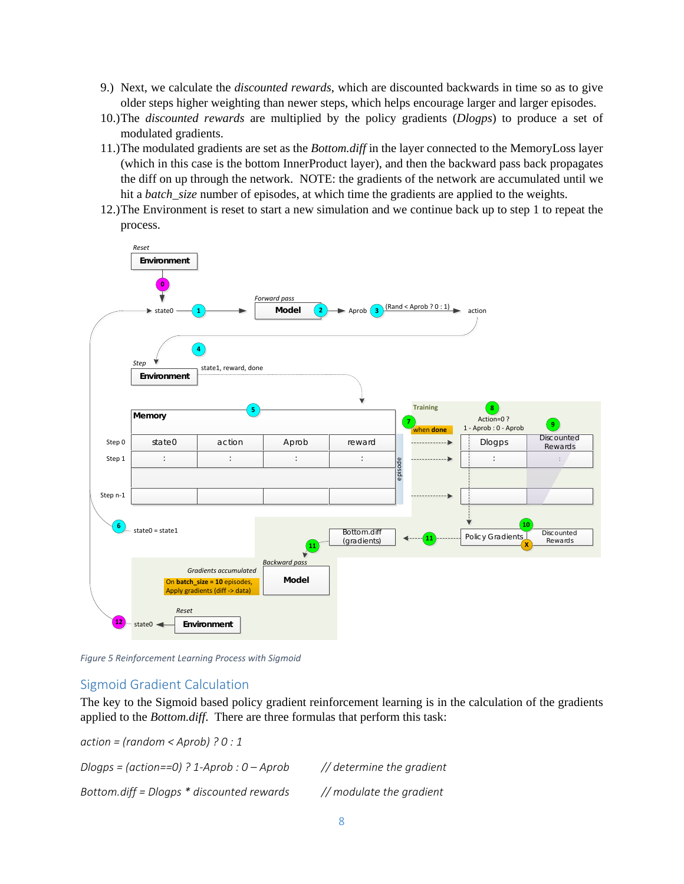- 9.) Next, we calculate the *discounted rewards*, which are discounted backwards in time so as to give older steps higher weighting than newer steps, which helps encourage larger and larger episodes.
- 10.)The *discounted rewards* are multiplied by the policy gradients (*Dlogps*) to produce a set of modulated gradients.
- 11.)The modulated gradients are set as the *Bottom.diff* in the layer connected to the MemoryLoss layer (which in this case is the bottom InnerProduct layer), and then the backward pass back propagates the diff on up through the network. NOTE: the gradients of the network are accumulated until we hit a *batch\_size* number of episodes, at which time the gradients are applied to the weights.
- 12.)The Environment is reset to start a new simulation and we continue back up to step 1 to repeat the process.



*Figure 5 Reinforcement Learning Process with Sigmoid*

### Sigmoid Gradient Calculation

The key to the Sigmoid based policy gradient reinforcement learning is in the calculation of the gradients applied to the *Bottom.diff*. There are three formulas that perform this task:

*action = (random < Aprob) ? 0 : 1 Dlogps = (action==0) ? 1-Aprob : 0 – Aprob // determine the gradient Bottom.diff = Dlogps \* discounted rewards // modulate the gradient*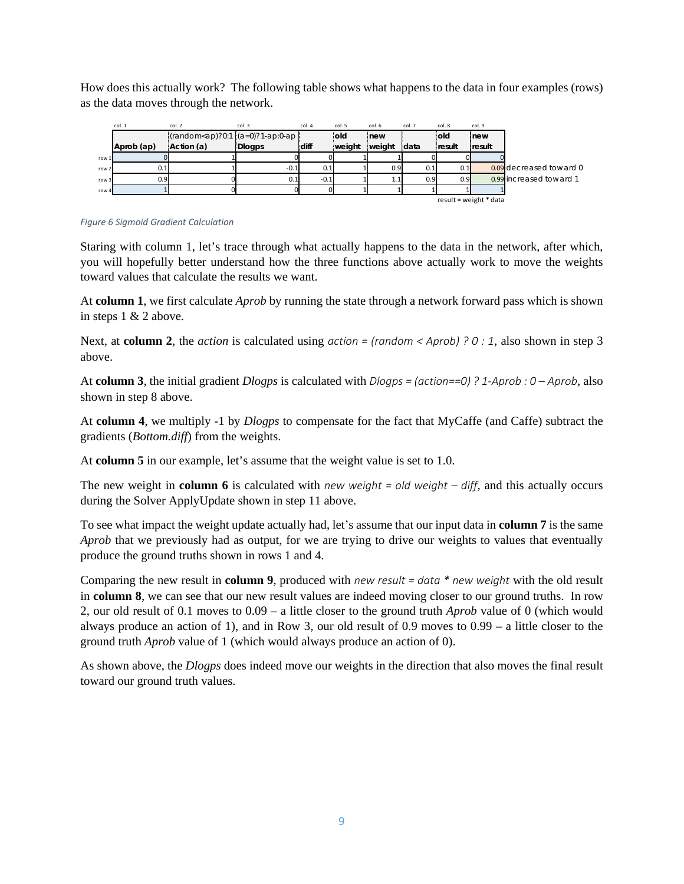How does this actually work? The following table shows what happens to the data in four examples (rows) as the data moves through the network.

|                  | col. 1                   | col. 2                                                                                                      | col. 3 | col. 4 | col. 5 | col. 6 | col. 7 | col. 8           | col.9  |                         |
|------------------|--------------------------|-------------------------------------------------------------------------------------------------------------|--------|--------|--------|--------|--------|------------------|--------|-------------------------|
|                  |                          | $[(\text{random} \leq a\text{p})?\text{0}:\text{1}](a=0)?\text{1} \cdot \text{ap}:\text{0} \cdot \text{ap}$ |        |        | old    | new    |        | lold             | new    |                         |
|                  | Aprob (ap)               | Action (a)                                                                                                  | Dlogps | diff   | weight | weight | data   | result           | result |                         |
| row 1            |                          |                                                                                                             |        |        |        |        |        |                  |        |                         |
| row <sub>2</sub> | 0.1                      |                                                                                                             | $-0.1$ | 0.1    |        | 0.9    | 0.1    | 0.1              |        | 0.09 decreased toward 0 |
| row 3            | 0.9                      |                                                                                                             | 0.1    | $-0.1$ |        | 1.1    | 0.9    | 0.9 <sup>1</sup> |        | 0.99 increased toward 1 |
| row 4            |                          |                                                                                                             |        |        |        |        |        |                  |        |                         |
|                  | $result = weight * data$ |                                                                                                             |        |        |        |        |        |                  |        |                         |

#### *Figure 6 Sigmoid Gradient Calculation*

Staring with column 1, let's trace through what actually happens to the data in the network, after which, you will hopefully better understand how the three functions above actually work to move the weights toward values that calculate the results we want.

At **column 1**, we first calculate *Aprob* by running the state through a network forward pass which is shown in steps 1 & 2 above.

Next, at **column 2**, the *action* is calculated using *action* = (random < Aprob) ? 0 : 1, also shown in step 3 above.

At **column 3**, the initial gradient *Dlogps* is calculated with *Dlogps = (action==0) ? 1-Aprob : 0 – Aprob*, also shown in step 8 above.

At **column 4**, we multiply -1 by *Dlogps* to compensate for the fact that MyCaffe (and Caffe) subtract the gradients (*Bottom.diff*) from the weights.

At **column 5** in our example, let's assume that the weight value is set to 1.0.

The new weight in **column 6** is calculated with *new weight = old weight – diff*, and this actually occurs during the Solver ApplyUpdate shown in step 11 above.

To see what impact the weight update actually had, let's assume that our input data in **column 7** is the same *Aprob* that we previously had as output, for we are trying to drive our weights to values that eventually produce the ground truths shown in rows 1 and 4.

Comparing the new result in **column 9**, produced with *new result = data \* new weight* with the old result in **column 8**, we can see that our new result values are indeed moving closer to our ground truths. In row 2, our old result of 0.1 moves to 0.09 – a little closer to the ground truth *Aprob* value of 0 (which would always produce an action of 1), and in Row 3, our old result of 0.9 moves to 0.99 – a little closer to the ground truth *Aprob* value of 1 (which would always produce an action of 0).

As shown above, the *Dlogps* does indeed move our weights in the direction that also moves the final result toward our ground truth values.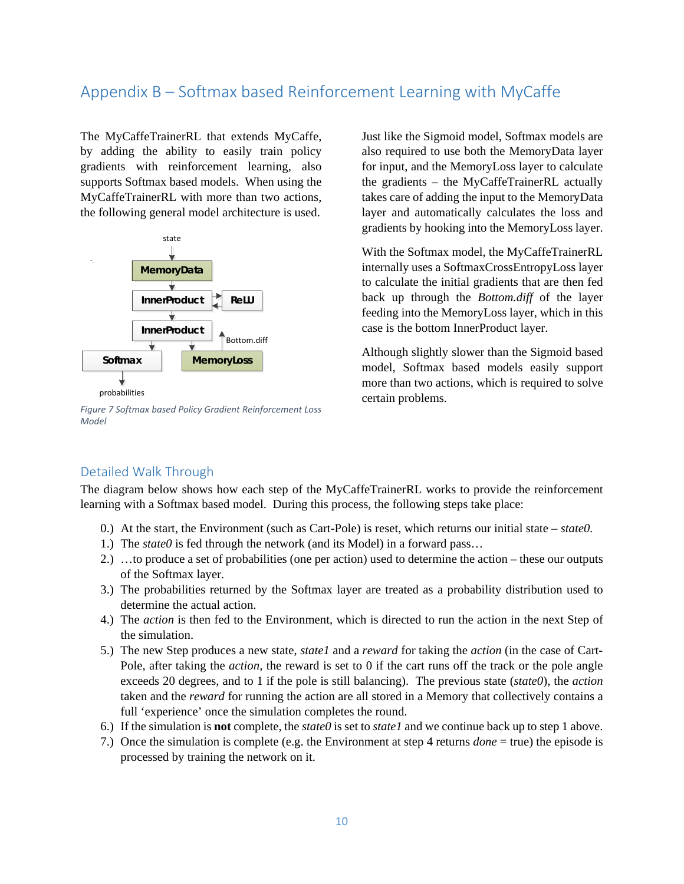# Appendix B – Softmax based Reinforcement Learning with MyCaffe

The MyCaffeTrainerRL that extends MyCaffe, by adding the ability to easily train policy gradients with reinforcement learning, also supports Softmax based models. When using the MyCaffeTrainerRL with more than two actions, the following general model architecture is used.



*Figure 7 Softmax based Policy Gradient Reinforcement Loss Model*

Just like the Sigmoid model, Softmax models are also required to use both the MemoryData layer for input, and the MemoryLoss layer to calculate the gradients – the MyCaffeTrainerRL actually takes care of adding the input to the MemoryData layer and automatically calculates the loss and gradients by hooking into the MemoryLoss layer.

With the Softmax model, the MyCaffeTrainerRL internally uses a SoftmaxCrossEntropyLoss layer to calculate the initial gradients that are then fed back up through the *Bottom.diff* of the layer feeding into the MemoryLoss layer, which in this case is the bottom InnerProduct layer.

Although slightly slower than the Sigmoid based model, Softmax based models easily support more than two actions, which is required to solve certain problems.

# Detailed Walk Through

The diagram below shows how each step of the MyCaffeTrainerRL works to provide the reinforcement learning with a Softmax based model. During this process, the following steps take place:

- 0.) At the start, the Environment (such as Cart-Pole) is reset, which returns our initial state *state0.*
- 1.) The *state0* is fed through the network (and its Model) in a forward pass…
- 2.) …to produce a set of probabilities (one per action) used to determine the action these our outputs of the Softmax layer.
- 3.) The probabilities returned by the Softmax layer are treated as a probability distribution used to determine the actual action.
- 4.) The *action* is then fed to the Environment, which is directed to run the action in the next Step of the simulation.
- 5.) The new Step produces a new state, *state1* and a *reward* for taking the *action* (in the case of Cart-Pole, after taking the *action*, the reward is set to 0 if the cart runs off the track or the pole angle exceeds 20 degrees, and to 1 if the pole is still balancing). The previous state (*state0*), the *action* taken and the *reward* for running the action are all stored in a Memory that collectively contains a full 'experience' once the simulation completes the round.
- 6.) If the simulation is **not** complete, the *state0* is set to *state1* and we continue back up to step 1 above.
- 7.) Once the simulation is complete (e.g. the Environment at step 4 returns *done* = true) the episode is processed by training the network on it.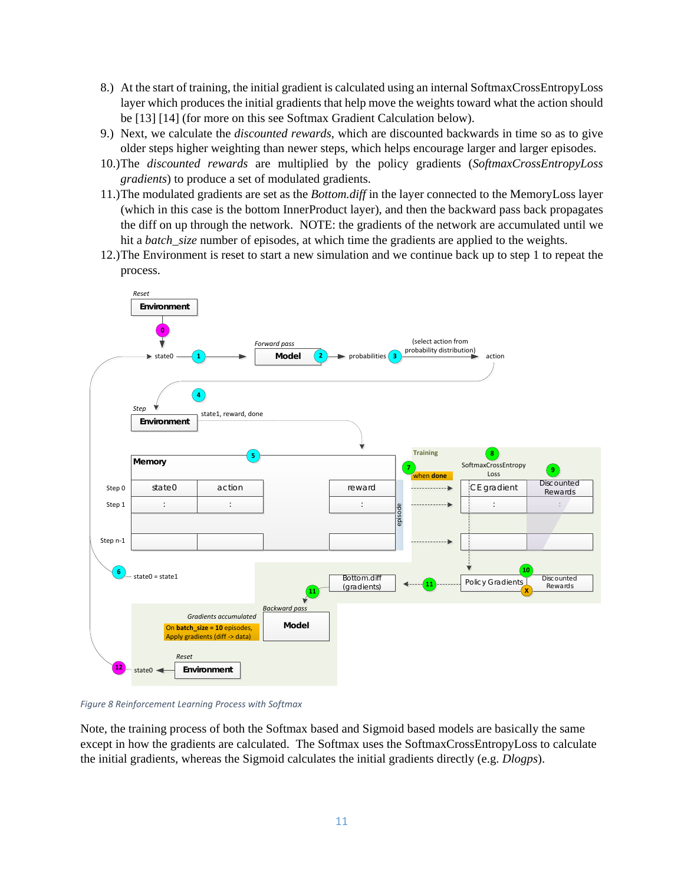- 8.) At the start of training, the initial gradient is calculated using an internal SoftmaxCrossEntropyLoss layer which produces the initial gradients that help move the weights toward what the action should be [13] [14] (for more on this see Softmax Gradient Calculation below).
- 9.) Next, we calculate the *discounted rewards*, which are discounted backwards in time so as to give older steps higher weighting than newer steps, which helps encourage larger and larger episodes.
- 10.)The *discounted rewards* are multiplied by the policy gradients (*SoftmaxCrossEntropyLoss gradients*) to produce a set of modulated gradients.
- 11.)The modulated gradients are set as the *Bottom.diff* in the layer connected to the MemoryLoss layer (which in this case is the bottom InnerProduct layer), and then the backward pass back propagates the diff on up through the network. NOTE: the gradients of the network are accumulated until we hit a *batch\_size* number of episodes, at which time the gradients are applied to the weights.
- 12.)The Environment is reset to start a new simulation and we continue back up to step 1 to repeat the process.



*Figure 8 Reinforcement Learning Process with Softmax*

Note, the training process of both the Softmax based and Sigmoid based models are basically the same except in how the gradients are calculated. The Softmax uses the SoftmaxCrossEntropyLoss to calculate the initial gradients, whereas the Sigmoid calculates the initial gradients directly (e.g. *Dlogps*).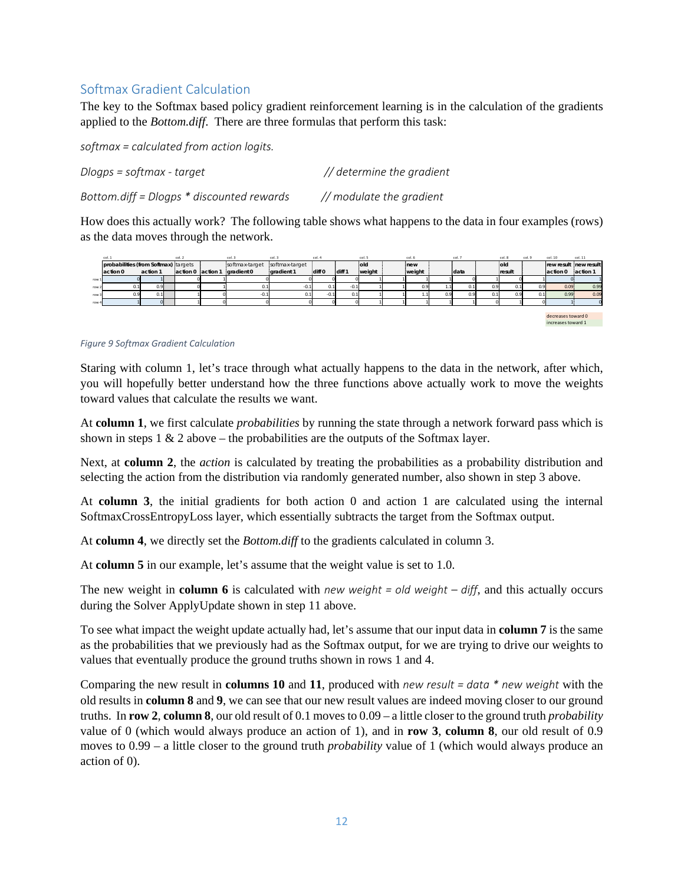# Softmax Gradient Calculation

The key to the Softmax based policy gradient reinforcement learning is in the calculation of the gradients applied to the *Bottom.diff*. There are three formulas that perform this task:

*softmax = calculated from action logits.*

*Dlogps = softmax - target // determine the gradient*

*Bottom.diff = Dlogps \* discounted rewards // modulate the gradient*

How does this actually work? The following table shows what happens to the data in four examples (rows) as the data moves through the network.



### *Figure 9 Softmax Gradient Calculation*

Staring with column 1, let's trace through what actually happens to the data in the network, after which, you will hopefully better understand how the three functions above actually work to move the weights toward values that calculate the results we want.

At **column 1**, we first calculate *probabilities* by running the state through a network forward pass which is shown in steps  $1 \& 2$  above – the probabilities are the outputs of the Softmax layer.

Next, at **column 2**, the *action* is calculated by treating the probabilities as a probability distribution and selecting the action from the distribution via randomly generated number, also shown in step 3 above.

At **column 3**, the initial gradients for both action 0 and action 1 are calculated using the internal SoftmaxCrossEntropyLoss layer, which essentially subtracts the target from the Softmax output.

At **column 4**, we directly set the *Bottom.diff* to the gradients calculated in column 3.

At **column 5** in our example, let's assume that the weight value is set to 1.0.

The new weight in **column 6** is calculated with *new weight = old weight – diff*, and this actually occurs during the Solver ApplyUpdate shown in step 11 above.

To see what impact the weight update actually had, let's assume that our input data in **column 7** is the same as the probabilities that we previously had as the Softmax output, for we are trying to drive our weights to values that eventually produce the ground truths shown in rows 1 and 4.

Comparing the new result in **columns 10** and **11**, produced with *new result = data \* new weight* with the old results in **column 8** and **9**, we can see that our new result values are indeed moving closer to our ground truths. In **row 2**, **column 8**, our old result of 0.1 moves to 0.09 – a little closer to the ground truth *probability* value of 0 (which would always produce an action of 1), and in **row 3**, **column 8**, our old result of 0.9 moves to 0.99 – a little closer to the ground truth *probability* value of 1 (which would always produce an action of 0).